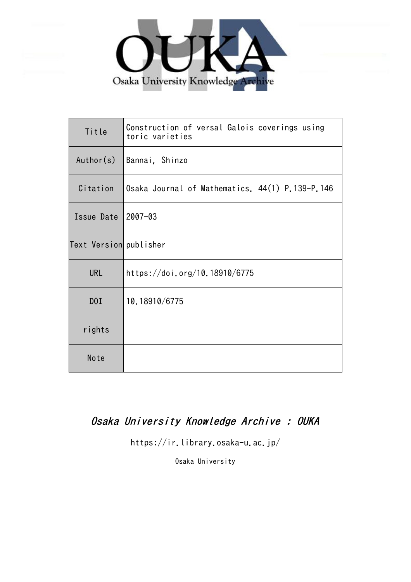

| Title                  | Construction of versal Galois coverings using<br>toric varieties |
|------------------------|------------------------------------------------------------------|
| Author(s)              | Bannai, Shinzo                                                   |
| Citation               | Osaka Journal of Mathematics. 44(1) P.139-P.146                  |
| Issue Date             | $2007 - 03$                                                      |
| Text Version publisher |                                                                  |
| <b>URL</b>             | https://doi.org/10.18910/6775                                    |
| D0I                    | 10.18910/6775                                                    |
| rights                 |                                                                  |
| Note                   |                                                                  |

# Osaka University Knowledge Archive : OUKA

https://ir.library.osaka-u.ac.jp/

Osaka University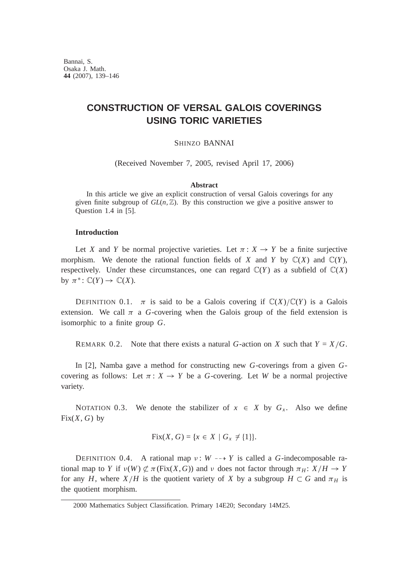Bannai, S. Osaka J. Math. **44** (2007), 139–146

## **CONSTRUCTION OF VERSAL GALOIS COVERINGS USING TORIC VARIETIES**

## SHINZO BANNAI

(Received November 7, 2005, revised April 17, 2006)

## **Abstract**

In this article we give an explicit construction of versal Galois coverings for any given finite subgroup of  $GL(n, \mathbb{Z})$ . By this construction we give a positive answer to Question 1.4 in [5].

## **Introduction**

Let *X* and *Y* be normal projective varieties. Let  $\pi: X \to Y$  be a finite surjective morphism. We denote the rational function fields of *X* and *Y* by  $\mathbb{C}(X)$  and  $\mathbb{C}(Y)$ , respectively. Under these circumstances, one can regard  $\mathbb{C}(Y)$  as a subfield of  $\mathbb{C}(X)$ by  $\pi^* \colon \mathbb{C}(Y) \to \mathbb{C}(X)$ .

DEFINITION 0.1.  $\pi$  is said to be a Galois covering if  $\mathbb{C}(X)/\mathbb{C}(Y)$  is a Galois extension. We call  $\pi$  a *G*-covering when the Galois group of the field extension is isomorphic to a finite group *G*.

REMARK 0.2. Note that there exists a natural *G*-action on *X* such that  $Y = X/G$ .

In [2], Namba gave a method for constructing new *G*-coverings from a given *G*covering as follows: Let  $\pi: X \to Y$  be a *G*-covering. Let *W* be a normal projective variety.

NOTATION 0.3. We denote the stabilizer of  $x \in X$  by  $G<sub>x</sub>$ . Also we define  $Fix(X, G)$  by

Fix(X, G) = {
$$
x \in X \mid G_x \neq \{1\}
$$
 }.

DEFINITION 0.4. A rational map  $v: W \rightarrow Y$  is called a *G*-indecomposable rational map to *Y* if  $\nu(W) \not\subset \pi$  (Fix(*X*, *G*)) and  $\nu$  does not factor through  $\pi_H: X/H \to Y$ for any *H*, where *X/H* is the quotient variety of *X* by a subgroup  $H \subset G$  and  $\pi_H$  is the quotient morphism.

<sup>2000</sup> Mathematics Subject Classification. Primary 14E20; Secondary 14M25.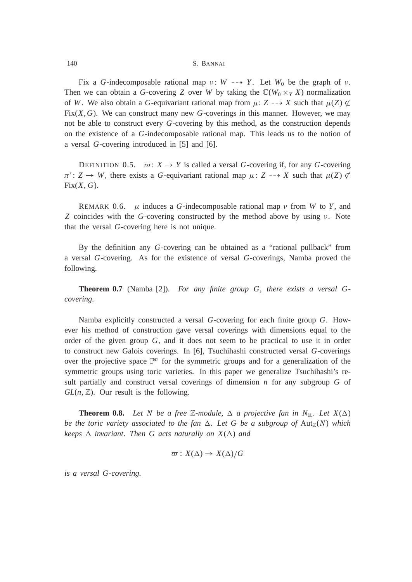### 140 S. BANNAI

Fix a *G*-indecomposable rational map  $v: W \longrightarrow Y$ . Let  $W_0$  be the graph of  $v$ . Then we can obtain a *G*-covering *Z* over *W* by taking the  $\mathbb{C}(W_0 \times_Y X)$  normalization of *W*. We also obtain a *G*-equivariant rational map from  $\mu: Z \rightarrow X$  such that  $\mu(Z) \not\subset Z$ Fix(*X*,*G*). We can construct many new *G*-coverings in this manner. However, we may not be able to construct every *G*-covering by this method, as the construction depends on the existence of a *G*-indecomposable rational map. This leads us to the notion of a versal *G*-covering introduced in [5] and [6].

DEFINITION 0.5.  $\varpi: X \to Y$  is called a versal *G*-covering if, for any *G*-covering  $\pi' : Z \to W$ , there exists a *G*-equivariant rational map  $\mu : Z \dashrightarrow X$  such that  $\mu(Z) \not\subset Z$  $Fix(X, G)$ .

REMARK 0.6.  $\mu$  induces a *G*-indecomposable rational map  $\nu$  from *W* to *Y*, and *Z* coincides with the *G*-covering constructed by the method above by using  $\nu$ . Note that the versal *G*-covering here is not unique.

By the definition any *G*-covering can be obtained as a "rational pullback" from a versal *G*-covering. As for the existence of versal *G*-coverings, Namba proved the following.

**Theorem 0.7** (Namba [2]). *For any finite group G*, *there exists a versal Gcovering*.

Namba explicitly constructed a versal *G*-covering for each finite group *G*. However his method of construction gave versal coverings with dimensions equal to the order of the given group *G*, and it does not seem to be practical to use it in order to construct new Galois coverings. In [6], Tsuchihashi constructed versal *G*-coverings over the projective space  $\mathbb{P}^n$  for the symmetric groups and for a generalization of the symmetric groups using toric varieties. In this paper we generalize Tsuchihashi's result partially and construct versal coverings of dimension *n* for any subgroup *G* of  $GL(n, \mathbb{Z})$ . Our result is the following.

**Theorem 0.8.** Let N be a free Z-module,  $\Delta$  a projective fan in N<sub>R</sub>. Let  $X(\Delta)$ *be the toric variety associated to the fan*  $\Delta$ . Let G be a subgroup of  $\text{Aut}_{\mathbb{Z}}(N)$  which *keeps*  $\Delta$  *invariant. Then G acts naturally on X(* $\Delta$ *) and* 

$$
\varpi: X(\Delta) \to X(\Delta)/G
$$

*is a versal G-covering*.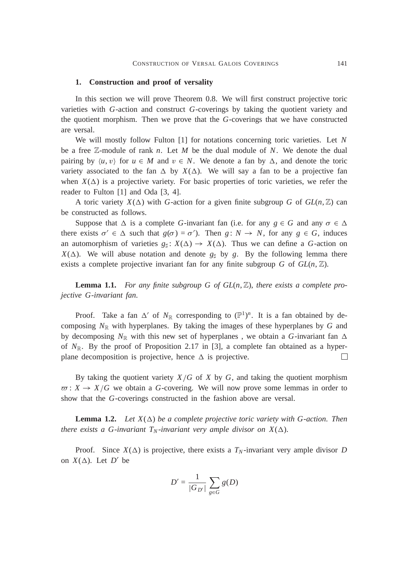#### **1. Construction and proof of versality**

In this section we will prove Theorem 0.8. We will first construct projective toric varieties with *G*-action and construct *G*-coverings by taking the quotient variety and the quotient morphism. Then we prove that the *G*-coverings that we have constructed are versal.

We will mostly follow Fulton [1] for notations concerning toric varieties. Let *N* be a free Z-module of rank *n*. Let *M* be the dual module of *N*. We denote the dual pairing by  $\langle u, v \rangle$  for  $u \in M$  and  $v \in N$ . We denote a fan by  $\Delta$ , and denote the toric variety associated to the fan  $\Delta$  by  $X(\Delta)$ . We will say a fan to be a projective fan when  $X(\Delta)$  is a projective variety. For basic properties of toric varieties, we refer the reader to Fulton [1] and Oda [3, 4].

A toric variety  $X(\Delta)$  with *G*-action for a given finite subgroup *G* of  $GL(n, \mathbb{Z})$  can be constructed as follows.

Suppose that  $\Delta$  is a complete *G*-invariant fan (i.e. for any  $g \in G$  and any  $\sigma \in \Delta$ there exists  $\sigma' \in \Delta$  such that  $g(\sigma) = \sigma'$ ). Then  $g: N \to N$ , for any  $g \in G$ , induces an automorphism of varieties  $g_{\nvert}: X(\Delta) \to X(\Delta)$ . Thus we can define a *G*-action on  $X(\Delta)$ . We will abuse notation and denote  $g_{\sharp}$  by *g*. By the following lemma there exists a complete projective invariant fan for any finite subgroup *G* of  $GL(n, \mathbb{Z})$ .

**Lemma 1.1.** For any finite subgroup G of  $GL(n, \mathbb{Z})$ , there exists a complete pro*jective G-invariant fan*.

Proof. Take a fan  $\Delta'$  of  $N_{\mathbb{R}}$  corresponding to  $(\mathbb{P}^1)^n$ . It is a fan obtained by decomposing  $N_{\mathbb{R}}$  with hyperplanes. By taking the images of these hyperplanes by  $G$  and by decomposing  $N_{\mathbb{R}}$  with this new set of hyperplanes, we obtain a *G*-invariant fan  $\Delta$ of  $N_{\mathbb{R}}$ . By the proof of Proposition 2.17 in [3], a complete fan obtained as a hyperplane decomposition is projective, hence  $\Delta$  is projective.  $\Box$ 

By taking the quotient variety  $X/G$  of X by G, and taking the quotient morphism  $\overline{\omega}$ :  $X \rightarrow X/G$  we obtain a *G*-covering. We will now prove some lemmas in order to show that the *G*-coverings constructed in the fashion above are versal.

**Lemma 1.2.** *Let*  $X(\Delta)$  *be a complete projective toric variety with G-action. Then there exists a G-invariant T<sub>N</sub>-invariant very ample divisor on*  $X(\Delta)$ *.* 

Proof. Since  $X(\Delta)$  is projective, there exists a  $T_N$ -invariant very ample divisor *D* on  $X(\Delta)$ . Let  $D'$  be

$$
D' = \frac{1}{|G_{D'}|} \sum_{g \in G} g(D)
$$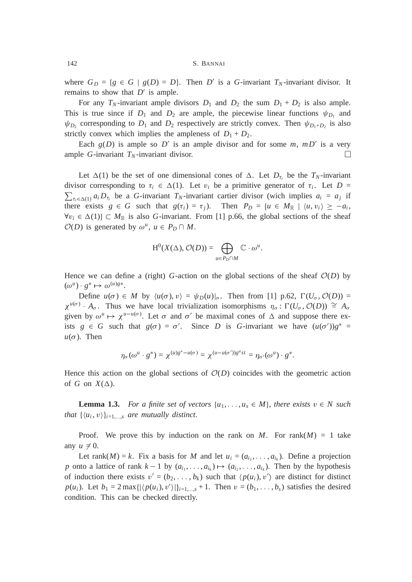where  $G_D = \{g \in G \mid g(D) = D\}$ . Then *D'* is a *G*-invariant *T<sub>N</sub>*-invariant divisor. It remains to show that  $D'$  is ample.

For any  $T_N$ -invariant ample divisors  $D_1$  and  $D_2$  the sum  $D_1 + D_2$  is also ample. This is true since if  $D_1$  and  $D_2$  are ample, the piecewise linear functions  $\psi_{D_1}$  and  $\psi_{D_2}$  corresponding to  $D_1$  and  $D_2$  respectively are strictly convex. Then  $\psi_{D_1+D_2}$  is also strictly convex which implies the ampleness of  $D_1 + D_2$ .

Each  $g(D)$  is ample so D' is an ample divisor and for some m,  $mD'$  is a very ample *G*-invariant  $T_N$ -invariant divisor. □

Let  $\Delta(1)$  be the set of one dimensional cones of  $\Delta$ . Let  $D_{\tau_i}$  be the  $T_N$ -invariant divisor corresponding to  $\tau_i \in \Delta(1)$ . Let  $v_i$  be a primitive generator of  $\tau_i$ . Let  $D =$  $\sum_{\tau_i \in \Delta(1)} a_i D_{\tau_i}$  be a *G*-invariant *T<sub>N</sub>*-invariant cartier divisor (wich implies  $a_i = a_j$  if there exists  $g \in G$  such that  $g(\tau_i) = \tau_j$ ). Then  $P_D = \{u \in M_{\mathbb{R}} \mid \langle u, v_i \rangle \geq -a_i$ ,  $\forall v_i \in \Delta(1) \subset M_{\mathbb{R}}$  is also *G*-invariant. From [1] p.66, the global sections of the sheaf  $\mathcal{O}(D)$  is generated by  $\omega^u$ ,  $u \in P_D \cap M$ .

$$
H^{0}(X(\Delta), \mathcal{O}(D)) = \bigoplus_{u \in P_{D} \cap M} \mathbb{C} \cdot \omega^{u}.
$$

Hence we can define a (right) *G*-action on the global sections of the sheaf  $\mathcal{O}(D)$  by  $(\omega^u) \cdot g^* \mapsto \omega^{(u)g*}.$ 

Define  $u(\sigma) \in M$  by  $\langle u(\sigma), v \rangle = \psi_D(u)|_{\sigma}$ . Then from [1] p.62,  $\Gamma(U_{\sigma}, \mathcal{O}(D)) =$  $\chi^{u(\sigma)}$  *A<sub>o</sub>*. Thus we have local trivialization isomorphisms  $\eta_{\sigma}$ :  $\Gamma(U_{\sigma}, \mathcal{O}(D)) \cong A_{\sigma}$ given by  $\omega^u \mapsto \chi^{u-u(\sigma)}$ . Let  $\sigma$  and  $\sigma'$  be maximal cones of  $\Delta$  and suppose there exists  $g \in G$  such that  $g(\sigma) = \sigma'$ . Since *D* is *G*-invariant we have  $(u(\sigma'))g^* =$  $u(\sigma)$ . Then

$$
\eta_{\sigma}(\omega^u \cdot g^*) = \chi^{(u)g^* - u(\sigma)} = \chi^{(u - u(\sigma'))g^a s t} = \eta_{\sigma'}(\omega^u) \cdot g^*.
$$

Hence this action on the global sections of  $\mathcal{O}(D)$  coincides with the geometric action of *G* on  $X(\Delta)$ .

**Lemma 1.3.** For a finite set of vectors  $\{u_1, \ldots, u_s \in M\}$ , there exists  $v \in N$  such *that*  $\{\langle u_i, v \rangle\}_{i=1,...,s}$  *are mutually distinct.* 

Proof. We prove this by induction on the rank on *M*. For rank $(M) = 1$  take any  $u \neq 0$ .

Let rank $(M) = k$ . Fix a basis for *M* and let  $u_i = (a_{i_1}, \ldots, a_{i_k})$ . Define a projection *p* onto a lattice of rank  $k-1$  by  $(a_{i_1}, \ldots, a_{i_k}) \mapsto (a_{i_2}, \ldots, a_{i_k})$ . Then by the hypothesis of induction there exists  $v' = (b_2, \ldots, b_k)$  such that  $\langle p(u_i), v' \rangle$  are distinct for distinct  $p(u_i)$ . Let  $b_1 = 2 \max\{|\langle p(u_i), v' \rangle|\}_{i=1,\dots,s} + 1$ . Then  $v = (b_1, \dots, b_s)$  satisfies the desired condition. This can be checked directly.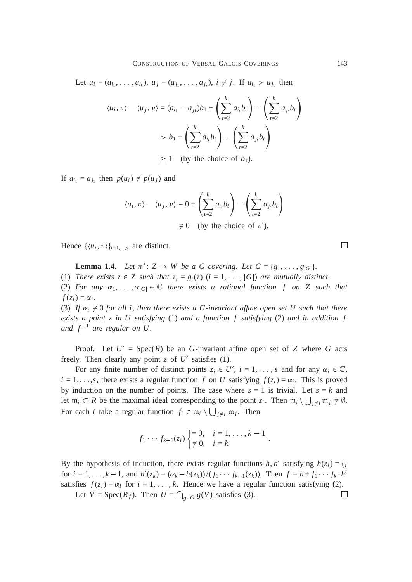Let  $u_i = (a_{i_1}, \ldots, a_{i_k}), u_j = (a_{j_1}, \ldots, a_{j_k}), i \neq j$ . If  $a_{i_1} > a_{j_1}$  then  $\langle u_i, v \rangle - \langle u_j, v \rangle = (a_{i_1} - a_{j_1})b_1 +$  $\left(\frac{k}{\epsilon}\right)$ *t*=2  $a_i$ ,  $b_t$ !  $\left(\frac{k}{\sqrt{2}}\right)$ *t*=2  $a_{j_t}$  $b_t$ !  $> b_1 +$  $\left(\frac{k}{\epsilon}\right)$ *t*=2  $a_i$ ,  $b_t$ !  $\left(\frac{k}{\epsilon}\right)$ *t*=2  $a_{j_t}$  $b_t$ !  $\geq 1$  (by the choice of  $b_1$ ).

If  $a_{i_1} = a_{j_1}$  then  $p(u_i) \neq p(u_j)$  and

$$
\langle u_i, v \rangle - \langle u_j, v \rangle = 0 + \left( \sum_{t=2}^k a_{i_t} b_t \right) - \left( \sum_{t=2}^k a_{j_t} b_t \right)
$$
  

$$
\neq 0 \quad \text{(by the choice of x')}.
$$

 $\neq 0$  (by the choice of v').

Hence  $\{\langle u_i, v \rangle\}_{i=1,\dots,s}$  are distinct.

**Lemma 1.4.** *Let*  $\pi'$ :  $Z \to W$  *be a G-covering. Let*  $G = \{g_1, \ldots, g_{|G|}\}.$ 

(1) *There exists*  $z \in Z$  *such that*  $z_i = g_i(z)$  ( $i = 1, \ldots, |G|$ ) *are mutually distinct.* 

(2) *For any*  $\alpha_1, \ldots, \alpha_{|G|} \in \mathbb{C}$  *there exists a rational function f on Z such that*  $f(z_i) = \alpha_i$ .

(3) If  $\alpha_i \neq 0$  for all *i*, then there exists a G-invariant affine open set U such that there *exists a point z in U satisfying* (1) *and a function f satisfying* (2) *and in addition f* and  $f^{-1}$  are regular on U.

Proof. Let  $U' = \text{Spec}(R)$  be an *G*-invariant affine open set of *Z* where *G* acts freely. Then clearly any point  $z$  of  $U'$  satisfies (1).

For any finite number of distinct points  $z_i \in U'$ ,  $i = 1, \ldots, s$  and for any  $\alpha_i \in \mathbb{C}$ ,  $i = 1, \ldots, s$ , there exists a regular function *f* on *U* satisfying  $f(z_i) = \alpha_i$ . This is proved by induction on the number of points. The case where  $s = 1$  is trivial. Let  $s = k$  and let  $m_i \subset R$  be the maximal ideal corresponding to the point  $z_i$ . Then  $m_i \setminus \bigcup_{j \neq i} m_j \neq \emptyset$ . For each *i* take a regular function  $f_i \in \mathfrak{m}_i \setminus \bigcup_{j \neq i} \mathfrak{m}_j$ . Then

$$
f_1 \cdots f_{k-1}(z_i) \begin{cases} = 0, & i = 1, \ldots, k-1 \\ \neq 0, & i = k \end{cases}
$$
.

By the hypothesis of induction, there exists regular functions  $h, h'$  satisfying  $h(z_i) = \xi_i$ for  $i = 1, ..., k - 1$ , and  $h'(z_k) = (\alpha_k - h(z_k))/(f_1 \cdots f_{k-1}(z_k))$ . Then  $f = h + f_1 \cdots f_k \cdot h'$ satisfies  $f(z_i) = \alpha_i$  for  $i = 1, ..., k$ . Hence we have a regular function satisfying (2).

Let  $V = \text{Spec}(R_f)$ . Then  $U = \bigcap_{g \in G} g(V)$  satisfies (3).

 $\Box$ 

□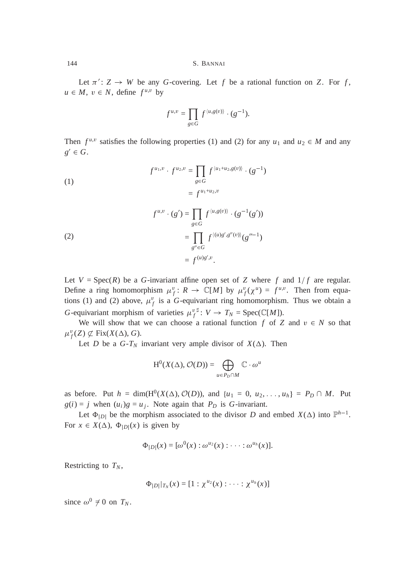144 S. BANNAI

Let  $\pi$  :  $Z \to W$  be any *G*-covering. Let *f* be a rational function on *Z*. For *f*,  $u \in M$ ,  $v \in N$ , define  $f^{u,v}$  by

$$
f^{u,v} = \prod_{g \in G} f^{\langle u,g(v) \rangle} \cdot (g^{-1}).
$$

Then  $f^{u,v}$  satisfies the following properties (1) and (2) for any  $u_1$  and  $u_2 \in M$  and any  $g' \in G$ .

(1)  
\n
$$
f^{u_1, v} \cdot f^{u_2, v} = \prod_{g \in G} f^{\langle u_1 + u_2, g(v) \rangle} \cdot (g^{-1})
$$
\n
$$
= f^{u_1 + u_2, v}
$$
\n
$$
f^{u, v} \cdot (g') = \prod_{g \in G} f^{\langle u, g(v) \rangle} \cdot (g^{-1}(g'))
$$
\n(2)  
\n
$$
= \prod_{g'' \in G} f^{\langle u, g', g''(v) \rangle} (g''^{-1})
$$
\n
$$
= f^{(u)g', v}.
$$

Let  $V = \text{Spec}(R)$  be a *G*-invariant affine open set of *Z* where *f* and  $1/f$  are regular. Define a ring homomorphism  $\mu_f^v : R \to \mathbb{C}[M]$  by  $\mu_f^v(\chi^u) = f^{u,v}$ . Then from equations (1) and (2) above,  $\mu_f^v$  is a *G*-equivariant ring homomorphism. Thus we obtain a *G*-equivariant morphism of varieties  $\mu_f^{\nu \, \sharp}$ :  $V \to T_N$  = Spec( $\mathbb{C}[M]$ ).

We will show that we can choose a rational function  $f$  of  $Z$  and  $v \in N$  so that  $\mu_f^v(Z) \not\subset \text{Fix}(X(\Delta), G).$ 

Let *D* be a  $G-T_N$  invariant very ample divisor of  $X(\Delta)$ . Then

$$
\mathrm{H}^0(X(\Delta),\mathcal{O}(D))=\bigoplus_{u\in P_D\cap M}\mathbb{C}\cdot\omega^u
$$

as before. Put  $h = \dim(H^0(X(\Delta), \mathcal{O}(D)))$ , and  $\{u_1 = 0, u_2, ..., u_h\} = P_D \cap M$ . Put  $g(i) = j$  when  $(u_i)g = u_j$ . Note again that  $P_D$  is *G*-invariant.

Let  $\Phi_{|D|}$  be the morphism associated to the divisor *D* and embed  $X(\Delta)$  into  $\mathbb{P}^{h-1}$ . For  $x \in X(\Delta)$ ,  $\Phi_{|D|}(x)$  is given by

$$
\Phi_{|D|}(x) = [\omega^{0}(x) : \omega^{u_2}(x) : \cdots : \omega^{u_h}(x)].
$$

Restricting to  $T_N$ ,

$$
\Phi_{|D|}|_{T_N}(x) = [1 : \chi^{u_2}(x) : \cdots : \chi^{u_h}(x)]
$$

since  $\omega^0 \neq 0$  on  $T_N$ .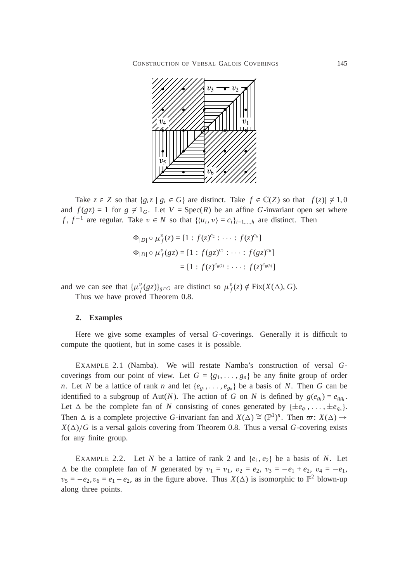

Take  $z \in Z$  so that  $\{g_i z \mid g_i \in G\}$  are distinct. Take  $f \in \mathbb{C}(Z)$  so that  $|f(z)| \neq 1, 0$ and  $f(gz) = 1$  for  $g \neq 1_G$ . Let  $V = \text{Spec}(R)$  be an affine *G*-invariant open set where *f*,  $f^{-1}$  are regular. Take  $v \in N$  so that  $\{\langle u_i, v \rangle = c_i\}_{i=1,\dots,h}$  are distinct. Then

$$
\Phi_{|D|} \circ \mu_f^v(z) = [1 : f(z)^{c_2} : \cdots : f(z)^{c_h}]
$$
  

$$
\Phi_{|D|} \circ \mu_f^v(gz) = [1 : f(gz)^{c_2} : \cdots : f(gz)^{c_h}]
$$
  

$$
= [1 : f(z)^{c_{g(2)}} : \cdots : f(z)^{c_{g(h)}}]
$$

and we can see that  $\{\mu_f^v(gz)\}_{g \in G}$  are distinct so  $\mu_f^v(z) \notin \text{Fix}(X(\Delta), G)$ .

Thus we have proved Theorem 0.8.

## **2. Examples**

Here we give some examples of versal *G*-coverings. Generally it is difficult to compute the quotient, but in some cases it is possible.

EXAMPLE 2.1 (Namba). We will restate Namba's construction of versal *G*coverings from our point of view. Let  $G = \{g_1, \ldots, g_n\}$  be any finite group of order *n*. Let *N* be a lattice of rank *n* and let  $\{e_{g_1}, \ldots, e_{g_n}\}$  be a basis of *N*. Then *G* can be identified to a subgroup of Aut(*N*). The action of *G* on *N* is defined by  $g(e_{g_i}) = e_{gg_i}$ . Let  $\Delta$  be the complete fan of *N* consisting of cones generated by  $\{\pm e_{g_1}, \ldots, \pm e_{g_n}\}.$ Then  $\Delta$  is a complete projective *G*-invariant fan and  $X(\Delta) \cong (\mathbb{P}^1)^n$ . Then  $\varpi: X(\Delta) \to$  $X(\Delta)/G$  is a versal galois covering from Theorem 0.8. Thus a versal *G*-covering exists for any finite group.

EXAMPLE 2.2. Let *N* be a lattice of rank 2 and  $\{e_1, e_2\}$  be a basis of *N*. Let  $\Delta$  be the complete fan of *N* generated by  $v_1 = v_1$ ,  $v_2 = e_2$ ,  $v_3 = -e_1 + e_2$ ,  $v_4 = -e_1$ ,  $v_5 = -e_2$ ,  $v_6 = e_1 - e_2$ , as in the figure above. Thus  $X(\Delta)$  is isomorphic to  $\mathbb{P}^2$  blown-up along three points.